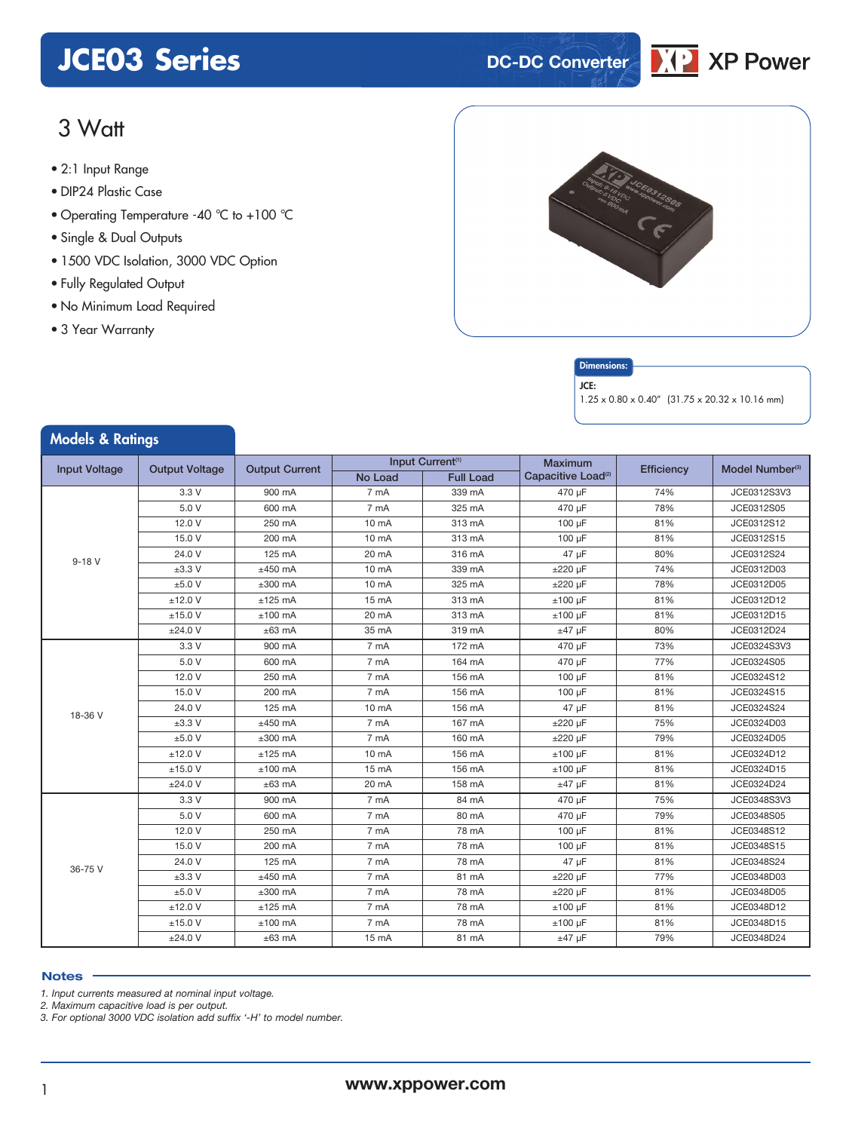# **JCE03 Series DC-DC** Converter



### 3 Watt

- **xxx Series** 2:1 Input Range
- DIP24 Plastic Case
- Operating Temperature -40 °C to +100 °C
- Single & Dual Outputs
- 1500 VDC Isolation, 3000 VDC Option
- Fully Regulated Output
- No Minimum Load Required
- 3 Year Warranty

Models & Ratings





JCE:

1.25 x 0.80 x 0.40" (31.75 x 20.32 x 10.16 mm)

| <i><b>NODRES &amp; KATINGS</b></i> |                       |                       |                   |                              |                                |            |                             |
|------------------------------------|-----------------------|-----------------------|-------------------|------------------------------|--------------------------------|------------|-----------------------------|
| <b>Input Voltage</b>               |                       |                       |                   | Input Current <sup>(1)</sup> | <b>Maximum</b>                 |            | Model Number <sup>(3)</sup> |
|                                    | <b>Output Voltage</b> | <b>Output Current</b> | No Load           | <b>Full Load</b>             | Capacitive Load <sup>(2)</sup> | Efficiency |                             |
| $9 - 18V$                          | 3.3V                  | 900 mA                | 7 mA              | 339 mA                       | 470 µF                         | 74%        | JCE0312S3V3                 |
|                                    | 5.0 V                 | 600 mA                | 7 mA              | 325 mA                       | 470 µF                         | 78%        | JCE0312S05                  |
|                                    | 12.0 V                | 250 mA                | 10 mA             | 313 mA                       | 100 µF                         | 81%        | JCE0312S12                  |
|                                    | 15.0 V                | 200 mA                | 10 <sub>m</sub> A | 313 mA                       | $100 \mu F$                    | 81%        | JCE0312S15                  |
|                                    | 24.0 V                | 125 mA                | 20 mA             | 316 mA                       | 47 µF                          | 80%        | JCE0312S24                  |
|                                    | $±3.3$ V              | $±450$ mA             | 10 <sub>m</sub> A | 339 mA                       | $\pm 220$ µF                   | 74%        | JCE0312D03                  |
|                                    | ±5.0V                 | $±300$ mA             | 10 <sub>m</sub> A | 325 mA                       | $\pm 220$ µF                   | 78%        | JCE0312D05                  |
|                                    | $±12.0$ V             | $±125$ mA             | $15 \text{ mA}$   | 313 mA                       | $±100 \mu F$                   | 81%        | JCE0312D12                  |
|                                    | ±15.0 V               | $±100$ mA             | 20 mA             | 313 mA                       | $±100 \mu F$                   | 81%        | JCE0312D15                  |
|                                    | ±24.0 V               | $±63$ mA              | 35 mA             | 319 mA                       | $±47$ µF                       | 80%        | JCE0312D24                  |
| 18-36 V                            | 3.3V                  | 900 mA                | 7 mA              | 172 mA                       | 470 µF                         | 73%        | JCE0324S3V3                 |
|                                    | 5.0 V                 | 600 mA                | 7 m <sub>A</sub>  | 164 mA                       | 470 uF                         | 77%        | JCE0324S05                  |
|                                    | 12.0 V                | 250 mA                | 7 mA              | 156 mA                       | 100 µF                         | 81%        | JCE0324S12                  |
|                                    | 15.0 V                | 200 mA                | 7 mA              | 156 mA                       | 100 µF                         | 81%        | JCE0324S15                  |
|                                    | 24.0 V                | 125 mA                | 10 mA             | 156 mA                       | 47 µF                          | 81%        | JCE0324S24                  |
|                                    | $±3.3$ V              | $±450$ mA             | 7 mA              | 167 mA                       | $\pm 220$ µF                   | 75%        | JCE0324D03                  |
|                                    | ±5.0V                 | $±300$ mA             | 7 mA              | 160 mA                       | $±220 \mu F$                   | 79%        | JCE0324D05                  |
|                                    | $±12.0$ V             | $±125$ mA             | 10 mA             | 156 mA                       | $±100 \mu F$                   | 81%        | JCE0324D12                  |
|                                    | $±15.0$ V             | $±100$ mA             | $15 \text{ mA}$   | 156 mA                       | $±100 \mu F$                   | 81%        | JCE0324D15                  |
|                                    | ±24.0 V               | $±63$ mA              | 20 mA             | 158 mA                       | $±47~\mu F$                    | 81%        | JCE0324D24                  |
| 36-75 V                            | 3.3 V                 | 900 mA                | 7 mA              | 84 mA                        | 470 uF                         | 75%        | JCE0348S3V3                 |
|                                    | 5.0 V                 | 600 mA                | 7 mA              | 80 mA                        | 470 uF                         | 79%        | JCE0348S05                  |
|                                    | 12.0 V                | 250 mA                | 7 mA              | 78 mA                        | 100 µF                         | 81%        | JCE0348S12                  |
|                                    | 15.0 V                | 200 mA                | 7 mA              | 78 mA                        | 100 uF                         | 81%        | JCE0348S15                  |
|                                    | 24.0 V                | 125 mA                | 7 mA              | 78 mA                        | 47 µF                          | 81%        | JCE0348S24                  |
|                                    | $±3.3$ V              | $±450$ mA             | 7 mA              | 81 mA                        | $\pm 220$ µF                   | 77%        | JCE0348D03                  |
|                                    | ±5.0V                 | $±300$ mA             | 7 mA              | 78 mA                        | $\pm 220$ µF                   | 81%        | JCE0348D05                  |
|                                    | $±12.0$ V             | $±125$ mA             | 7 mA              | 78 mA                        | $±100 \mu F$                   | 81%        | JCE0348D12                  |
|                                    | ±15.0 V               | $±100$ mA             | 7 mA              | 78 mA                        | $±100 \mu F$                   | 81%        | JCE0348D15                  |
|                                    | ±24.0 V               | $±63$ mA              | 15 mA             | 81 mA                        | $±47$ µF                       | 79%        | JCE0348D24                  |

### **Notes**

*1. Input currents measured at nominal input voltage.*

*2. Maximum capacitive load is per output.*

*3. For optional 3000 VDC isolation add suffix '-H' to model number.*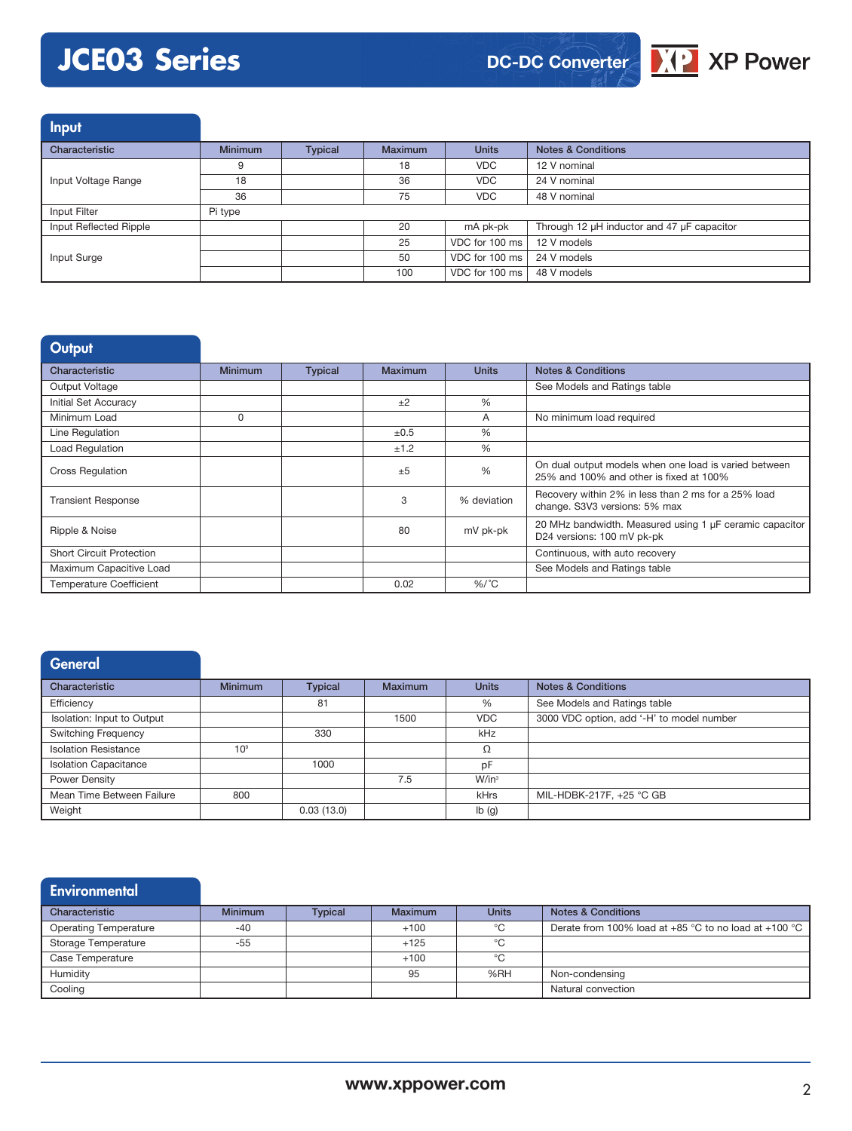# **JCE03 Series**



Input

| Characteristic         | <b>Minimum</b> | <b>Typical</b> | <b>Maximum</b> | <b>Units</b>                 | <b>Notes &amp; Conditions</b>              |
|------------------------|----------------|----------------|----------------|------------------------------|--------------------------------------------|
|                        |                |                | 18             | <b>VDC</b>                   | 12 V nominal                               |
| Input Voltage Range    | 18             |                | 36             | <b>VDC</b>                   | 24 V nominal                               |
|                        | 36             |                | 75             | <b>VDC</b>                   | 48 V nominal                               |
| Input Filter           | Pi type        |                |                |                              |                                            |
| Input Reflected Ripple |                |                | 20             | mA pk-pk                     | Through 12 µH inductor and 47 µF capacitor |
|                        |                |                | 25             | VDC for 100 ms               | 12 V models                                |
| Input Surge            |                |                | 50             | VDC for 100 ms               | 24 V models                                |
|                        |                |                | 100            | VDC for 100 ms   48 V models |                                            |

| <b>Output</b>                   |                |                |         |               |                                                                                                  |
|---------------------------------|----------------|----------------|---------|---------------|--------------------------------------------------------------------------------------------------|
| Characteristic                  | <b>Minimum</b> | <b>Typical</b> | Maximum | <b>Units</b>  | <b>Notes &amp; Conditions</b>                                                                    |
| Output Voltage                  |                |                |         |               | See Models and Ratings table                                                                     |
| <b>Initial Set Accuracy</b>     |                |                | ±2      | $\%$          |                                                                                                  |
| Minimum Load                    | 0              |                |         | A             | No minimum load required                                                                         |
| Line Regulation                 |                |                | ±0.5    | %             |                                                                                                  |
| Load Regulation                 |                |                | ±1.2    | $\%$          |                                                                                                  |
| <b>Cross Regulation</b>         |                |                | ±5      | $\frac{0}{0}$ | On dual output models when one load is varied between<br>25% and 100% and other is fixed at 100% |
| <b>Transient Response</b>       |                |                | 3       | % deviation   | Recovery within 2% in less than 2 ms for a 25% load<br>change. S3V3 versions: 5% max             |
| Ripple & Noise                  |                |                | 80      | mV pk-pk      | 20 MHz bandwidth. Measured using 1 µF ceramic capacitor<br>D24 versions: 100 mV pk-pk            |
| <b>Short Circuit Protection</b> |                |                |         |               | Continuous, with auto recovery                                                                   |
| Maximum Capacitive Load         |                |                |         |               | See Models and Ratings table                                                                     |
| <b>Temperature Coefficient</b>  |                |                | 0.02    | $%$ /°C       |                                                                                                  |

### **General**

| Characteristic               | <b>Minimum</b>  | <b>Typical</b> | <b>Maximum</b> | <b>Units</b> | <b>Notes &amp; Conditions</b>             |
|------------------------------|-----------------|----------------|----------------|--------------|-------------------------------------------|
| Efficiency                   |                 | 81             |                | %            | See Models and Ratings table              |
| Isolation: Input to Output   |                 |                | 1500           | <b>VDC</b>   | 3000 VDC option, add '-H' to model number |
| <b>Switching Frequency</b>   |                 | 330            |                | kHz          |                                           |
| <b>Isolation Resistance</b>  | 10 <sup>9</sup> |                |                | Ω            |                                           |
| <b>Isolation Capacitance</b> |                 | 1000           |                | pF           |                                           |
| Power Density                |                 |                | 7.5            | $W/in^3$     |                                           |
| Mean Time Between Failure    | 800             |                |                | kHrs         | MIL-HDBK-217F, +25 °C GB                  |
| Weight                       |                 | 0.03(13.0)     |                | Ib(g)        |                                           |

### **Environmental** Characteristic **Minimum Typical Maximum Units Notes & Conditions** Operating Temperature -40 -40 -40 +100 + 100 °C Derate from 100% load at +85 °C to no load at +100 °C Storage Temperature -55 +125 °C Case Temperature +100 + +100 °C Humidity 95 %RH Non-condensing Cooling Natural convection